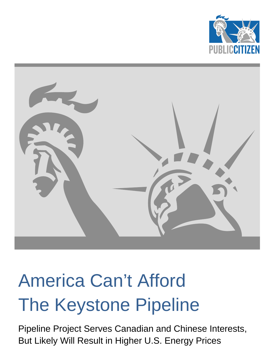



# America Can't Afford The Keystone Pipeline

Pipeline Project Serves Canadian and Chinese Interests, But Likely Will Result in Higher U.S. Energy Prices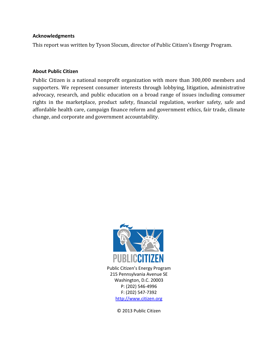#### **Acknowledgments**

This report was written by Tyson Slocum, director of Public Citizen's Energy Program.

#### **About Public Citizen**

Public Citizen is a national nonprofit organization with more than 300,000 members and supporters. We represent consumer interests through lobbying, litigation, administrative advocacy, research, and public education on a broad range of issues including consumer rights in the marketplace, product safety, financial regulation, worker safety, safe and affordable health care, campaign finance reform and government ethics, fair trade, climate change, and corporate and government accountability.



Public Citizen's Energy Program 215 Pennsylvania Avenue SE Washington, D.C. 20003 P: (202) 546-4996 F: (202) 547-7392 http://www.citizen.org

© 2013 Public Citizen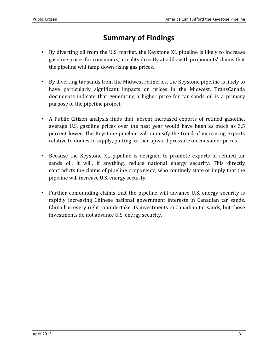## **Summary of Findings**

- By diverting oil from the U.S. market, the Keystone XL pipeline is likely to increase gasoline prices for consumers, a reality directly at odds with proponents' claims that the pipeline will tamp down rising gas prices.
- By diverting tar sands from the Midwest refineries, the Keystone pipeline is likely to have particularly significant impacts on prices in the Midwest. TransCanada documents indicate that generating a higher price for tar sands oil is a primary purpose of the pipeline project.
- A Public Citizen analysis finds that, absent increased exports of refined gasoline, average U.S. gasoline prices over the past year would have been as much as 3.5 percent lower. The Keystone pipeline will intensify the trend of increasing exports relative to domestic supply, putting further upward pressure on consumer prices.
- Because the Keystone XL pipeline is designed to promote exports of refined tar sands oil, it will, if anything, reduce national energy security. This directly contradicts the claims of pipeline proponents, who routinely state or imply that the pipeline will increase U.S. energy security.
- Further confounding claims that the pipeline will advance U.S. energy security is rapidly increasing Chinese national government interests in Canadian tar sands. China has every right to undertake its investments in Canadian tar sands, but those investments do not advance U.S. energy security.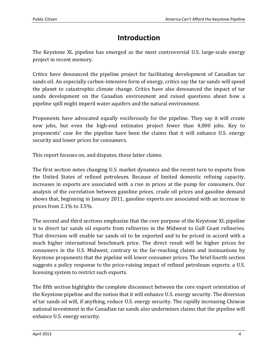## **Introduction**

The Keystone XL pipeline has emerged as the most controversial U.S. large-scale energy project in recent memory.

Critics have denounced the pipeline project for facilitating development of Canadian tar sands oil. An especially carbon-intensive form of energy, critics say the tar sands will speed the planet to catastrophic climate change. Critics have also denounced the impact of tar sands development on the Canadian environment and raised questions about how a pipeline spill might imperil water aquifers and the natural environment.

Proponents have advocated equally vociferously for the pipeline. They say it will create new jobs, but even the high-end estimates project fewer than 4,000 jobs. Key to proponents' case for the pipeline have been the claims that it will enhance U.S. energy security and lower prices for consumers.

This report focuses on, and disputes, these latter claims.

The first section notes changing U.S. market dynamics and the recent turn to exports from the United States of refined petroleum. Because of limited domestic refining capacity, increases in exports are associated with a rise in prices at the pump for consumers. Our analysis of the correlation between gasoline prices, crude oil prices and gasoline demand shows that, beginning in January 2011, gasoline exports are associated with an increase in prices from 2.1% to 3.5%.

The second and third sections emphasize that the core purpose of the Keystone XL pipeline is to divert tar sands oil exports from refineries in the Midwest to Gulf Coast refineries. That diversion will enable tar sands oil to be exported and to be priced in accord with a much higher international benchmark price. The direct result will be higher prices for consumers in the U.S. Midwest, contrary to the far-reaching claims and insinuations by Keystone proponents that the pipeline will lower consumer prices. The brief fourth section suggests a policy response to the price-raising impact of refined petroleum exports: a U.S. licensing system to restrict such exports.

The fifth section highlights the complete disconnect between the core export orientation of the Keystone pipeline and the notion that it will enhance U.S. energy security. The diversion of tar sands oil will, if anything, reduce U.S. energy security. The rapidly increasing Chinese national investment in the Canadian tar sands also undermines claims that the pipeline will enhance U.S. energy security.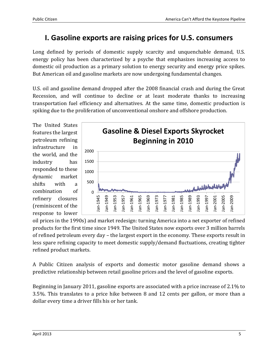## **I. Gasoline exports are raising prices for U.S. consumers**

Long defined by periods of domestic supply scarcity and unquenchable demand, U.S. energy policy has been characterized by a psyche that emphasizes increasing access to domestic oil production as a primary solution to energy security and energy price spikes. But American oil and gasoline markets are now undergoing fundamental changes.

U.S. oil and gasoline demand dropped after the 2008 financial crash and during the Great Recession, and will continue to decline or at least moderate thanks to increasing transportation fuel efficiency and alternatives. At the same time, domestic production is spiking due to the proliferation of unconventional onshore and offshore production.

The United States features the largest petroleum refining infrastructure in the world, and the industry has responded to these dynamic market shifts with a combination of refinery closures (reminiscent of the response to lower



oil prices in the 1990s) and market redesign: turning America into a net exporter of refined products for the first time since 1949. The United States now exports over 3 million barrels of refined petroleum every day – the largest export in the economy. These exports result in less spare refining capacity to meet domestic supply/demand fluctuations, creating tighter refined product markets.

A Public Citizen analysis of exports and domestic motor gasoline demand shows a predictive relationship between retail gasoline prices and the level of gasoline exports.

Beginning in January 2011, gasoline exports are associated with a price increase of 2.1% to 3.5%. This translates to a price hike between 8 and 12 cents per gallon, or more than a dollar every time a driver fills his or her tank.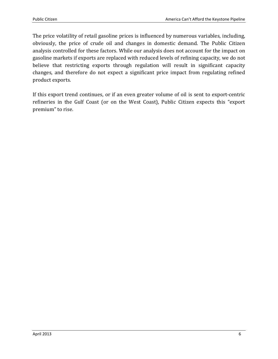The price volatility of retail gasoline prices is influenced by numerous variables, including, obviously, the price of crude oil and changes in domestic demand. The Public Citizen analysis controlled for these factors. While our analysis does not account for the impact on gasoline markets if exports are replaced with reduced levels of refining capacity, we do not believe that restricting exports through regulation will result in significant capacity changes, and therefore do not expect a significant price impact from regulating refined product exports.

If this export trend continues, or if an even greater volume of oil is sent to export-centric refineries in the Gulf Coast (or on the West Coast), Public Citizen expects this "export premium" to rise.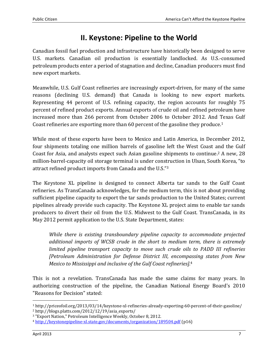## **II. Keystone: Pipeline to the World**

Canadian fossil fuel production and infrastructure have historically been designed to serve U.S. markets. Canadian oil production is essentially landlocked. As U.S.-consumed petroleum products enter a period of stagnation and decline, Canadian producers must find new export markets.

Meanwhile, U.S. Gulf Coast refineries are increasingly export-driven, for many of the same reasons (declining U.S. demand) that Canada is looking to new export markets. Representing 44 percent of U.S. refining capacity, the region accounts for roughly 75 percent of refined product exports. Annual exports of crude oil and refined petroleum have increased more than 266 percent from October 2006 to October 2012. And Texas Gulf Coast refineries are exporting more than 60 percent of the gasoline they produce.<sup>1</sup>

While most of these exports have been to Mexico and Latin America, in December 2012, four shipments totaling one million barrels of gasoline left the West Coast and the Gulf Coast for Asia, and analysts expect such Asian gasoline shipments to continue.2 A new, 28 million-barrel-capacity oil storage terminal is under construction in Ulsan, South Korea, "to attract refined product imports from Canada and the U.S."<sup>3</sup>

The Keystone XL pipeline is designed to connect Alberta tar sands to the Gulf Coast refineries. As TransCanada acknowledges, for the medium term, this is not about providing sufficient pipeline capacity to export the tar sands production to the United States; current pipelines already provide such capacity. The Keystone XL project aims to enable tar sands producers to divert their oil from the U.S. Midwest to the Gulf Coast. TransCanada, in its May 2012 permit application to the U.S. State Department, states:

*While there is existing transboundary pipeline capacity to accommodate projected additional imports of WCSB crude in the short to medium term, there is extremely limited pipeline transport capacity to move such crude oils to PADD III refineries [Petroleum Administration for Defense District III, encompassing states from New Mexico to Mississippi and inclusive of the Gulf Coast refineries].*<sup>4</sup>

This is not a revelation. TransCanada has made the same claims for many years. In authorizing construction of the pipeline, the Canadian National Energy Board's 2010 "Reasons for Decision" stated:

<sup>1</sup> http://priceofoil.org/2013/03/14/keystone-xl-refineries-already-exporting-60-percent-of-their-gasoline/

<sup>2</sup> http://blogs.platts.com/2012/12/19/asia\_exports/

<sup>3</sup> "Export Nation," Petroleum Intelligence Weekly, October 8, 2012.

<sup>4</sup> http://keystonepipeline-xl.state.gov/documents/organization/189504.pdf (p16)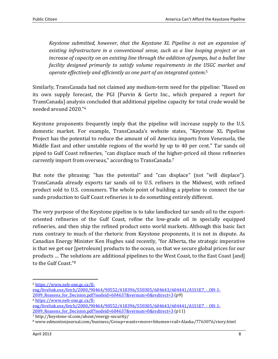*Keystone submitted, however, that the Keystone XL Pipeline is not an expansion of existing infrastructure in a conventional sense, such as a line looping project or an increase of capacity on an existing line through the addition of pumps, but a bullet line facility designed primarily to satisfy volume requirements in the USGC market and operate effectively and efficiently as one part of an integrated system.*<sup>5</sup>

Similarly, TransCanada had not claimed any medium-term need for the pipeline: "Based on its own supply forecast, the PGI [Purvin & Gertz Inc., which prepared a report for TransCanada] analysis concluded that additional pipeline capacity for total crude would be needed around 2020."<sup>6</sup>

Keystone proponents frequently imply that the pipeline will increase supply to the U.S. domestic market. For example, TransCanada's website states, "Keystone XL Pipeline Project has the potential to reduce the amount of oil America imports from Venezuela, the Middle East and other unstable regions of the world by up to 40 per cent." Tar sands oil piped to Gulf Coast refineries, "can displace much of the higher-priced oil those refineries currently import from overseas," according to TransCanada.<sup>7</sup>

But note the phrasing: "has the potential" and "can displace" (not "will displace"). TransCanada already exports tar sands oil to U.S. refiners in the Midwest, with refined product sold to U.S. consumers. The whole point of building a pipeline to connect the tar sands production to Gulf Coast refineries is to do something entirely different.

The very purpose of the Keystone pipeline is to take landlocked tar sands oil to the exportoriented refineries of the Gulf Coast, refine the low-grade oil in specially equipped refineries, and then ship the refined product onto world markets. Although this basic fact runs contrary to much of the rhetoric from Keystone proponents, it is not in dispute. As Canadian Energy Minister Ken Hughes said recently, "for Alberta, the strategic imperative is that we get our [petroleum] products to the ocean, so that we secure global prices for our products … The solutions are additional pipelines to the West Coast, to the East Coast [and] to the Gulf Coast."<sup>8</sup>

eng/livelink.exe/fetch/2000/90464/90552/418396/550305/604643/604441/A1S1E7 - OH-1-2009 Reasons for Decision.pdf?nodeid=604637&vernum=0&redirect=3 (p9) <sup>6</sup> https://www.neb-one.gc.ca/ll-

<sup>5</sup> https://www.neb-one.gc.ca/ll-

eng/livelink.exe/fetch/2000/90464/90552/418396/550305/604643/604441/A1S1E7 - OH-1-2009\_Reasons\_for\_Decision.pdf?nodeid=604637&vernum=0&redirect=3 (p11)

<sup>7</sup> http://keystone-xl.com/about/energy-security/

<sup>8</sup> www.edmontonjournal.com/business/Group+wants+move+bitumen+rail+Alaska/7763076/story.html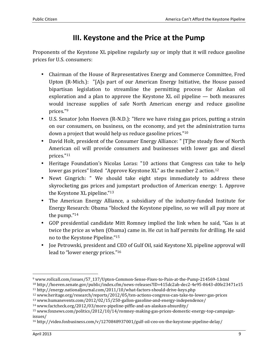## **III. Keystone and the Price at the Pump**

Proponents of the Keystone XL pipeline regularly say or imply that it will reduce gasoline prices for U.S. consumers:

- Chairman of the House of Representatives Energy and Commerce Committee, Fred Upton (R-Mich.): "[A]s part of our American Energy Initiative, the House passed bipartisan legislation to streamline the permitting process for Alaskan oil exploration and a plan to approve the Keystone XL oil pipeline — both measures would increase supplies of safe North American energy and reduce gasoline prices."<sup>9</sup>
- U.S. Senator John Hoeven (R-N.D.): "Here we have rising gas prices, putting a strain on our consumers, on business, on the economy, and yet the administration turns down a project that would help us reduce gasoline prices."<sup>10</sup>
- David Holt, president of the Consumer Energy Alliance: " [T]he steady flow of North American oil will provide consumers and businesses with lower gas and diesel prices."<sup>11</sup>
- Heritage Foundation's Nicolas Loras: "10 actions that Congress can take to help lower gas prices" listed "Approve Keystone XL" as the number 2 action.<sup>12</sup>
- Newt Gingrich: " We should take eight steps immediately to address these skyrocketing gas prices and jumpstart production of American energy: 1. Approve the Keystone XL pipeline."<sup>13</sup>
- The American Energy Alliance, a subsidiary of the industry-funded Institute for Energy Research: Obama "blocked the Keystone pipeline, so we will all pay more at the pump."<sup>14</sup>
- GOP presidential candidate Mitt Romney implied the link when he said, "Gas is at twice the price as when (Obama) came in. He cut in half permits for drilling. He said no to the Keystone Pipeline."<sup>15</sup>
- Joe Petrowski, president and CEO of Gulf Oil, said Keystone XL pipeline approval will lead to "lower energy prices."<sup>16</sup>

<sup>9</sup> www.rollcall.com/issues/57\_137/Upton-Common-Sense-Fixes-to-Pain-at-the-Pump-214569-1.html

<sup>10</sup> http://hoeven.senate.gov/public/index.cfm/news-releases?ID=415dc2ab-dec2-4e95-8643-d0fe23471e15 <sup>11</sup> http://energy.nationaljournal.com/2011/10/what-factors-should-drive-keys.php

<sup>12</sup> www.heritage.org/research/reports/2012/05/ten-actions-congress-can-take-to-lower-gas-prices

<sup>13</sup> www.humanevents.com/2012/02/15/250-gallon-gasoline-and-energy-independence/

<sup>14</sup> www.factcheck.org/2012/03/more-pipeline-piffle-and-an-alaskan-absurdity/

<sup>15</sup> www.foxnews.com/politics/2012/10/14/romney-making-gas-prices-domestic-energy-top-campaignissues/

<sup>16</sup> http://video.foxbusiness.com/v/1270848937001/gulf-oil-ceo-on-the-keystone-pipeline-delay/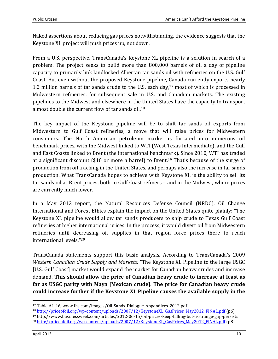Naked assertions about reducing gas prices notwithstanding, the evidence suggests that the Keystone XL project will push prices up, not down.

From a U.S. perspective, TransCanada's Keystone XL pipeline is a solution in search of a problem. The project seeks to build more than 800,000 barrels of oil a day of pipeline capacity to primarily link landlocked Albertan tar sands oil with refineries on the U.S. Gulf Coast. But even without the proposed Keystone pipeline, Canada currently exports nearly 1.2 million barrels of tar sands crude to the U.S. each day,<sup>17</sup> most of which is processed in Midwestern refineries, for subsequent sale in U.S. and Canadian markets. The existing pipelines to the Midwest and elsewhere in the United States have the capacity to transport almost double the current flow of tar sands oil.<sup>18</sup>

The key impact of the Keystone pipeline will be to shift tar sands oil exports from Midwestern to Gulf Coast refineries, a move that will raise prices for Midwestern consumers. The North American petroleum market is furcated into numerous oil benchmark prices, with the Midwest linked to WTI (West Texas Intermediate), and the Gulf and East Coasts linked to Brent (the international benchmark). Since 2010, WTI has traded at a significant discount (\$10 or more a barrel) to Brent.19 That's because of the surge of production from oil fracking in the United States, and perhaps also the increase in tar sands production. What TransCanada hopes to achieve with Keystone XL is the ability to sell its tar sands oil at Brent prices, both to Gulf Coast refiners – and in the Midwest, where prices are currently much lower.

In a May 2012 report, the Natural Resources Defense Council (NRDC), Oil Change International and Forest Ethics explain the impact on the United States quite plainly: "The Keystone XL pipeline would allow tar sands producers to ship crude to Texas Gulf Coast refineries at higher international prices. In the process, it would divert oil from Midwestern refineries until decreasing oil supplies in that region force prices there to reach international levels."<sup>20</sup>

TransCanada statements support this basic analysis. According to TransCanada's 2009 *Western Canadian Crude Supply and Markets:* "The Keystone XL Pipeline to the large USGC [U.S. Gulf Coast] market would expand the market for Canadian heavy crudes and increase demand. **This should allow the price of Canadian heavy crude to increase at least as far as USGC parity with Maya [Mexican crude]**. **The price for Canadian heavy crude could increase further if the Keystone XL Pipeline causes the available supply in the**

<sup>19</sup> http://www.businessweek.com/articles/2012-06-15/oil-prices-keep-falling-but-a-strange-gap-persists

<sup>17</sup> Table A1-16, www.ihs.com/images/Oil-Sands-Dialogue-Appendixes-2012.pdf

<sup>18</sup> http://priceofoil.org/wp-content/uploads/2007/12/KeystoneXL\_GasPrices\_May2012\_FINAL.pdf (p6)

<sup>&</sup>lt;sup>20</sup> http://priceofoil.org/wp-content/uploads/2007/12/KeystoneXL\_GasPrices\_May2012\_FINAL.pdf (p8)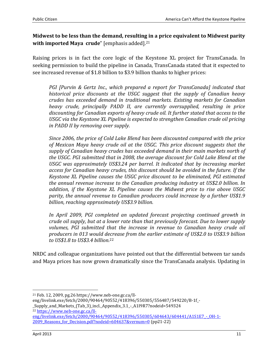#### **Midwest to be less than the demand, resulting in a price equivalent to Midwest parity**  with imported Maya crude" [emphasis added].<sup>21</sup>

Raising prices is in fact the core logic of the Keystone XL project for TransCanada. In seeking permission to build the pipeline in Canada, TransCanada stated that it expected to see increased revenue of \$1.8 billion to \$3.9 billion thanks to higher prices:

*PGI [Purvin & Gertz Inc., which prepared a report for TransCanada] indicated that historical price discounts at the USGC suggest that the supply of Canadian heavy crudes has exceeded demand in traditional markets. Existing markets for Canadian heavy crude, principally PADD II, are currently oversupplied, resulting in price discounting for Canadian exports of heavy crude oil. It further stated that access to the USGC via the Keystone XL Pipeline is expected to strengthen Canadian crude oil pricing in PADD II by removing over supply.* 

*Since 2006, the price of Cold Lake Blend has been discounted compared with the price of Mexican Maya heavy crude oil at the USGC. This price discount suggests that the supply of Canadian heavy crudes has exceeded demand in their main markets north of the USGC. PGI submitted that in 2008, the average discount for Cold Lake Blend at the USGC was approximately US\$3.24 per barrel. It indicated that by increasing market access for Canadian heavy crudes, this discount should be avoided in the future. If the Keystone XL Pipeline causes the USGC price discount to be eliminated, PGI estimated the annual revenue increase to the Canadian producing industry at US\$2.0 billion. In addition, if the Keystone XL Pipeline causes the Midwest price to rise above USGC parity, the annual revenue to Canadian producers could increase by a further US\$1.9 billion, reaching approximately US\$3.9 billion.* 

*In April 2009, PGI completed an updated forecast projecting continued growth in crude oil supply, but at a lower rate than that previously forecast. Due to lower supply volumes, PGI submitted that the increase in revenue to Canadian heavy crude oil producers in 013 would decrease from the earlier estimate of US\$2.0 to US\$3.9 billion to US\$1.8 to US\$3.4 billion.*<sup>22</sup>

NRDC and colleague organizations have pointed out that the differential between tar sands and Maya prices has now grown dramatically since the TransCanada analysis. Updating in

eng/livelink.exe/fetch/2000/90464/90552/418396/550305/604643/604441/A1S1E7 - OH-1-2009 Reasons for Decision.pdf?nodeid=604637&vernum=0 (pp21-22)

<sup>21</sup> Feb. 12, 2009, pg.26 https://www.neb-one.gc.ca/ll-

eng/livelink.exe/fetch/2000/90464/90552/418396/550305/556487/549220/B-1f\_-

\_Supply\_and\_Markets\_(Tab\_3)\_incl.\_Appendix\_3.1\_-\_A1I9R7?nodeid=549324 <sup>22</sup> https://www.neb-one.gc.ca/ll-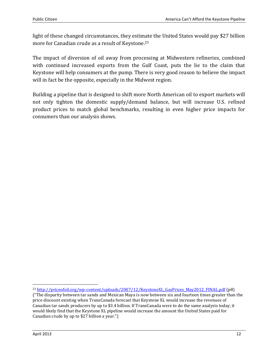light of these changed circumstances, they estimate the United States would pay \$27 billion more for Canadian crude as a result of Keystone.<sup>23</sup>

The impact of diversion of oil away from processing at Midwestern refineries, combined with continued increased exports from the Gulf Coast, puts the lie to the claim that Keystone will help consumers at the pump. There is very good reason to believe the impact will in fact be the opposite, especially in the Midwest region.

Building a pipeline that is designed to shift more North American oil to export markets will not only tighten the domestic supply/demand balance, but will increase U.S. refined product prices to match global benchmarks, resulting in even higher price impacts for consumers than our analysis shows.

<sup>&</sup>lt;sup>23</sup> http://priceofoil.org/wp-content/uploads/2007/12/KeystoneXL\_GasPrices\_May2012\_FINAL.pdf (p8)

<sup>(&</sup>quot;The disparity between tar sands and Mexican Maya is now between six and fourteen times greater than the price discount existing when TransCanada forecast that Keystone XL would increase the revenues of Canadian tar sands producers by up to \$3.4 billion. If TransCanada were to do the same analysis today, it would likely find that the Keystone XL pipeline would increase the amount the United States paid for Canadian crude by up to \$27 billion a year.")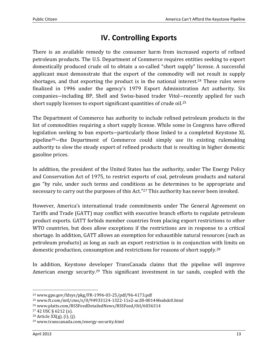## **IV. Controlling Exports**

There is an available remedy to the consumer harm from increased exports of refined petroleum products. The U.S. Department of Commerce requires entities seeking to export domestically produced crude oil to obtain a so-called "short supply" license. A successful applicant must demonstrate that the export of the commodity will not result in supply shortages, and that exporting the product is in the national interest.<sup>24</sup> These rules were finalized in 1996 under the agency's 1979 Export Administration Act authority. Six companies―including BP, Shell and Swiss-based trader Vitol―recently applied for such short supply licenses to export significant quantities of crude oil.<sup>25</sup>

The Department of Commerce has authority to include refined petroleum products in the list of commodities requiring a short supply license. While some in Congress have offered legislation seeking to ban exports―particularly those linked to a completed Keystone XL pipeline26―the Department of Commerce could simply use its existing rulemaking authority to slow the steady export of refined products that is resulting in higher domestic gasoline prices.

In addition, the president of the United States has the authority, under The Energy Policy and Conservation Act of 1975, to restrict exports of coal, petroleum products and natural gas "by rule, under such terms and conditions as he determines to be appropriate and necessary to carry out the purposes of this Act."27 This authority has never been invoked.

However, America's international trade commitments under The General Agreement on Tariffs and Trade (GATT) may conflict with executive branch efforts to regulate petroleum product exports. GATT forbids member countries from placing export restrictions to other WTO countries, but does allow exceptions if the restrictions are in response to a critical shortage. In addition, GATT allows an exemption for exhaustible natural resources (such as petroleum products) as long as such an export restriction is in conjunction with limits on domestic production, consumption and restrictions for reasons of short supply.<sup>28</sup>

In addition, Keystone developer TransCanada claims that the pipeline will improve American energy security.29 This significant investment in tar sands, coupled with the

<sup>24</sup> www.gpo.gov/fdsys/pkg/FR-1996-03-25/pdf/96-4173.pdf

<sup>25</sup> www.ft.com/intl/cms/s/0/94933124-1322-11e2-ac28-00144feabdc0.html

<sup>26</sup> www.platts.com/RSSFeedDetailedNews/RSSFeed/Oil/6036314

<sup>27</sup> 42 USC § 6212 (a).

 $28$  Article XX(g), (i), (j).

<sup>29</sup> www.transcanada.com/energy-security.html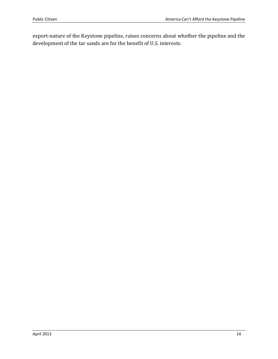export-nature of the Keystone pipeline, raises concerns about whether the pipeline and the development of the tar sands are for the benefit of U.S. interests.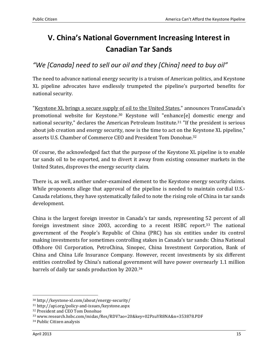# **V. China's National Government Increasing Interest in Canadian Tar Sands**

### *"We [Canada] need to sell our oil and they [China] need to buy oil"*

The need to advance national energy security is a truism of American politics, and Keystone XL pipeline advocates have endlessly trumpeted the pipeline's purported benefits for national security.

"Keystone XL brings a secure supply of oil to the United States," announces TransCanada's promotional website for Keystone.<sup>30</sup> Keystone will "enhance[e] domestic energy and national security," declares the American Petroleum Institute.<sup>31</sup> "If the president is serious about job creation and energy security, now is the time to act on the Keystone XL pipeline," asserts U.S. Chamber of Commerce CEO and President Tom Donohue.<sup>32</sup>

Of course, the acknowledged fact that the purpose of the Keystone XL pipeline is to enable tar sands oil to be exported, and to divert it away from existing consumer markets in the United States, disproves the energy security claim.

There is, as well, another under-examined element to the Keystone energy security claims. While proponents allege that approval of the pipeline is needed to maintain cordial U.S.- Canada relations, they have systematically failed to note the rising role of China in tar sands development.

China is the largest foreign investor in Canada's tar sands, representing 52 percent of all foreign investment since 2003, according to a recent HSBC report.33 The national government of the People's Republic of China (PRC) has six entities under its control making investments for sometimes controlling stakes in Canada's tar sands: China National Offshore Oil Corporation, PetroChina, Sinopec, China Investment Corporation, Bank of China and China Life Insurance Company. However, recent investments by six different entities controlled by China's national government will have power overnearly 1.1 million barrels of daily tar sands production by 2020.<sup>34</sup>

<sup>30</sup> http://keystone-xl.com/about/energy-security/

<sup>31</sup> http://api.org/policy-and-issues/keystone.aspx

<sup>32</sup> President and CEO Tom Donohue

<sup>33</sup> www.research.hsbc.com/midas/Res/RDV?ao=20&key=02PzuYR8NA&n=353878.PDF

<sup>34</sup> Public Citizen analysis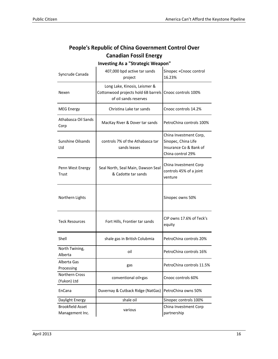| <b>Investing As a "Strategic Weapon"</b>   |                                                                                               |                                                                                              |  |
|--------------------------------------------|-----------------------------------------------------------------------------------------------|----------------------------------------------------------------------------------------------|--|
| Syncrude Canada                            | 407,000 bpd active tar sands<br>project                                                       | Sinopec +Cnooc control<br>16.23%                                                             |  |
| Nexen                                      | Long Lake, Kinosis, Leismer &<br>Cottonwood projects hold 6B barrels<br>of oil sands reserves | Cnooc controls 100%                                                                          |  |
| <b>MEG Energy</b>                          | Christina Lake tar sands                                                                      | Cnooc controls 14.2%                                                                         |  |
| Athabasca Oil Sands<br>Corp                | MacKay River & Dover tar sands                                                                | PetroChina controls 100%                                                                     |  |
| <b>Sunshine Oilsands</b><br>Ltd            | controls 7% of the Athabasca tar<br>sands leases                                              | China Investment Corp,<br>Sinopec, China Life<br>Insurance Co & Bank of<br>China control 29% |  |
| Penn West Energy<br>Trust                  | Seal North, Seal Main, Dawson Seal<br>& Cadotte tar sands                                     | China Investment Corp<br>controls 45% of a joint<br>venture                                  |  |
| Northern Lights                            |                                                                                               | Sinopec owns 50%                                                                             |  |
| <b>Teck Resources</b>                      | Fort Hills, Frontier tar sands                                                                | CIP owns 17.6% of Teck's<br>equity                                                           |  |
| Shell                                      | shale gas in British Colubmia                                                                 | PetroChina controls 20%                                                                      |  |
| North Twining,<br>Alberta                  | oil                                                                                           | PetroChina controls 16%                                                                      |  |
| Alberta Gas<br>Processing                  | gas                                                                                           | PetroChina controls 11.5%                                                                    |  |
| Northern Cross<br>(Yukon) Ltd              | conventional oil+gas                                                                          | Cnooc controls 60%                                                                           |  |
| EnCana                                     | Duvernay & Cutback Ridge (NatGas)                                                             | PetroChina owns 50%                                                                          |  |
| Daylight Energy                            | shale oil                                                                                     | Sinopec controls 100%                                                                        |  |
| <b>Brookfield Asset</b><br>Management Inc. | various                                                                                       | China Investment Corp<br>partnership                                                         |  |

#### **People's Republic of China Government Control Over Canadian Fossil Energy**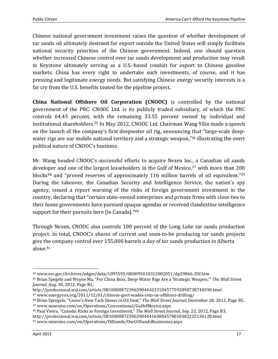Chinese national government investment raises the question of whether development of tar sands oil ultimately destined for export outside the United States will simply facilitate national security priorities of the Chinese government. Indeed, one should question whether increased Chinese control over tar sands development and production may result in Keystone ultimately serving as a U.S.-based conduit for export to Chinese gasoline markets. China has every right to undertake such investments, of course, and it has pressing and legitimate energy needs. But satisfying Chinese energy security interests is a far cry from the U.S. benefits touted for the pipeline project.

**China National Offshore Oil Corporation (CNOOC)** is controlled by the national government of the PRC. CNOOC Ltd. is its publicly traded subsidiary, of which the PRC controls 64.45 percent, with the remaining 33.55 percent owned by individual and institutional shareholders.35 In May 2012, CNOOC Ltd. Chairman Wang Yilin made a speech on the launch of the company's first deepwater oil rig, announcing that "large-scale deepwater rigs are our mobile national territory and a strategic weapon,"<sup>36</sup> illustrating the overt political nature of CNOOC's business.

Mr. Wang headed CNOOC's successful efforts to acquire Nexen Inc., a Canadian oil sands developer and one of the largest leaseholders in the Gulf of Mexico,<sup>37</sup> with more than 200 blocks<sup>38</sup> and "proved reserves of approximately 116 million barrels of oil equivalent."<sup>39</sup> During the takeover, the Canadian Security and Intelligence Service, the nation's spy agency, issued a report warning of the risks of foreign government investment in the country, declaring that "certain state-owned enterprises and private firms with close ties to their home governments have pursued opaque agendas or received clandestine intelligence support for their pursuits here [in Canada]."<sup>40</sup>

Through Nexen, CNOOC also controls 100 percent of the Long Lake tar sands production project. In total, CNOOC's shares of current and soon-to-be producing tar sands projects give the company control over 155,000 barrels a day of tar sands production in Alberta alone.<sup>41</sup>

<sup>&</sup>lt;u>.</u> <sup>35</sup> www.sec.gov/Archives/edgar/data/1095595/000095010312002051/dp29866-20f.htm

<sup>36</sup> Brian Spegele and Wayne Ma, "For China Boss, Deep-Water Rigs Are a 'Strategic Weapon,'" *The Wall Street Journal*, Aug. 30, 2012, Page B1,

http://professional.wsj.com/article/SB10000872396390444233104577592890738740290.html

<sup>37</sup> www.energyvox.org/2011/12/01/chinese-govt-wades-into-us-offshore-drilling/

<sup>38</sup> Brian Spregele, "Cnooc's New Tack Shows in Oil Deal," *The Wall Street Journal*, December 28, 2012, Page B5. <sup>39</sup> www.nexeninc.com/en/Operations/Conventional/GulfofMexico.aspx

<sup>40</sup> Paul Vieira, "Canada: Risks in Foreign Investment," *The Wall Street Journal*, Sep. 22, 2012, Page B3,

http://professional.wsj.com/article/SB10000872396390444165804578010302225136128.html

<sup>41</sup> www.nexeninc.com/en/Operations/OilSands/OurOilSandsBusinesses.aspx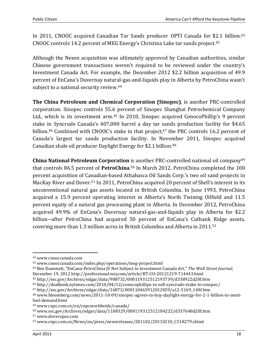In 2011, CNOOC acquired Canadian Tar Sands producer OPTI Canada for \$2.1 billion.<sup>42</sup> CNOOC controls 14.2 percent of MEG Energy's Christina Lake tar sands project.<sup>43</sup>

Although the Nexen acquisition was ultimately approved by Canadian authorities, similar Chinese government transactions weren't required to be reviewed under the country's Investment Canada Act. For example, the December 2012 \$2.2 billion acquisition of 49.9 percent of EnCana's Duvernay natural-gas-and-liquids play in Alberta by PetroChina wasn't subject to a national security review.<sup>44</sup>

**The China Petroleum and Chemical Corporation (Sinopec)**, is another PRC-controlled corporation. Sinopec controls 55.6 percent of Sinopec Shanghai Petrochemical Company Ltd., which is its investment arm.<sup>45</sup> In 2010, Sinopec acquired ConocoPhillip's 9 percent stake in Syncrude Canada's 407,000 barrel a day tar sands production facility for \$4.65 billion.<sup>46</sup> Combined with CNOOC's stake in that project,<sup>47</sup> the PRC controls 16.2 percent of Canada's largest tar sands production facility. In November 2011, Sinopec acquired Canadian shale oil producer Daylight Energy for \$2.1 billion.<sup>48</sup>

**China National Petroleum Corporation** is another PRC-controlled national oil company<sup>49</sup> that controls 86.5 percent of **PetroChina**. <sup>50</sup> In March 2012, PetroChina completed the 100 percent acquisition of Canadian-based Athabasca Oil Sands Corp.'s two oil sand projects in MacKay River and Dover.51 In 2011, PetroChina acquired 20 percent of Shell's interest in its unconventional natural gas assets located in British Columbia. In June 1993, PetroChina acquired a 15.9 percent operating interest in Alberta's North Twining Oilfield and 11.5 percent equity of a natural gas processing plant in Alberta. In December 2012, PetroChina acquired 49.9% of EnCana's Duvernay natural-gas-and-liquids play in Alberta for \$2.2 billion―after PetroChina had acquired 50 percent of EnCana's Cutbank Ridge assets, covering more than 1.3 million acres in British Columbia and Alberta in 2011.<sup>52</sup>

<sup>42</sup> www.cnooccanada.com

<sup>43</sup> www.cnooccanada.com/index.php/operations/meg-project.html

<sup>44</sup> Ben Dummett, "EnCana-PetroChina JV Not Subject to Investment Canada Act," *The Wall Street Journal*, December 19, 2012 http://professional.wsj.com/article/BT-CO-20121219-714443.html

<sup>45</sup> http://sec.gov/Archives/edgar/data/908732/000119312512193739/d338922d20f.htm

<sup>46</sup> http://dealbook.nytimes.com/2010/04/12/conocophillips-to-sell-syncrude-stake-to-sinopec/

<sup>47</sup> http://sec.gov/Archives/edgar/data/16873/000110465912012059/a12-5169\_140f.htm

<sup>48</sup> www.bloomberg.com/news/2011-10-09/sinopec-agrees-to-buy-daylight-energy-for-2-1-billion-to-meetfuel-demand.html

<sup>49</sup> www.cnpc.com.cn/en/cnpcworldwide/canada/

<sup>50</sup> www.sec.gov/Archives/edgar/data/1108329/000119312512184222/d337648d20f.htm

<sup>51</sup> www.doveropco.com

<sup>52</sup> www.cnpc.com.cn/News/en/press/newsreleases/201102/20110210\_C518279.shtml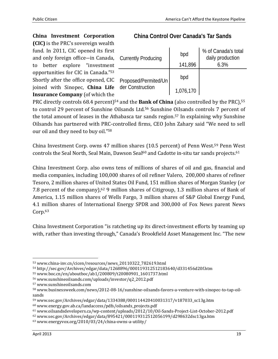**China Investment Corporation**

**(CIC)** is the PRC's sovereign wealth fund. In 2011, CIC opened its first and only foreign office―in Canada, to better explore "investment opportunities for CIC in Canada."<sup>53</sup> Shortly after the office opened, CIC joined with Sinopec, **China Life Insurance Company** (of which the

#### **China Control Over Canada's Tar Sands**

| <b>Currently Producing</b> | bpd<br>141,896 | % of Canada's total<br>daily production<br>6.3% |
|----------------------------|----------------|-------------------------------------------------|
|                            |                |                                                 |
| Proposed/Permited/Un       | bpd            |                                                 |
| der Construction           | 1,076,170      |                                                 |

PRC directly controls 68.4 percent)<sup>54</sup> and the **Bank of China** (also controlled by the PRC),<sup>55</sup> to control 29 percent of Sunshine Oilsands Ltd.56 Sunshine Oilsands controls 7 percent of the total amount of leases in the Athabasca tar sands region.57 In explaining why Sunshine Oilsands has partnered with PRC-controlled firms, CEO John Zahary said "We need to sell our oil and they need to buy oil."<sup>58</sup>

China Investment Corp. owns 47 million shares (10.5 percent) of Penn West.59 Penn West controls the Seal North, Seal Main, Dawson Seal<sup>60</sup> and Cadotte in-situ tar sands projects.<sup>61</sup>

China Investment Corp. also owns tens of millions of shares of oil and gas, financial and media companies, including 100,000 shares of oil refiner Valero, 200,000 shares of refiner Tesoro, 2 million shares of United States Oil Fund, 151 million shares of Morgan Stanley (or 7.8 percent of the company),<sup>62</sup> 9 million shares of Citigroup, 1.3 million shares of Bank of America, 1.15 million shares of Wells Fargo, 3 million shares of S&P Global Energy Fund, 4.1 million shares of International Energy SPDR and 300,000 of Fox News parent News Corp.<sup>63</sup>

China Investment Corporation "is ratcheting up its direct-investment efforts by teaming up with, rather than investing through," Canada's Brookfield Asset Management Inc. "The new

<sup>53</sup> www.china-inv.cn/cicen/resources/news\_20110322\_782619.html

<sup>54</sup> http://sec.gov/Archives/edgar/data/1268896/000119312512183640/d331456d20f.htm

<sup>55</sup> www.boc.cn/en/aboutboc/ab1/200809/t20080901\_1601737.html

<sup>56</sup> www.sunshineoilsands.com/uploads/investor/q2\_2012.pdf

<sup>57</sup> www.sunshineoilsands.com

<sup>58</sup> www.businessweek.com/news/2012-08-16/sunshine-oilsands-favors-a-venture-with-sinopec-to-tap-oilsands

<sup>59</sup> www.sec.gov/Archives/edgar/data/1334388/000114420410031317/v187033\_sc13g.htm

<sup>60</sup> www.energy.gov.ab.ca/landaccess/pdfs/oilsands\_projects.pdf

<sup>61</sup> www.oilsandsdevelopers.ca/wp-content/uploads/2012/10/Oil-Sands-Project-List-October-2012.pdf

<sup>62</sup> www.sec.gov/Archives/edgar/data/895421/000119312512056199/d298632dsc13ga.htm

<sup>63</sup> www.energyvox.org/2010/03/24/china-owns-a-utility/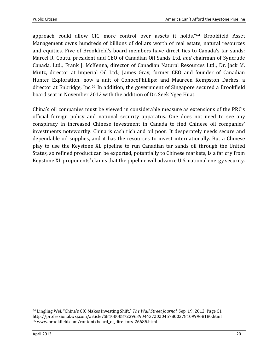approach could allow CIC more control over assets it holds."64 Brookfield Asset Management owns hundreds of billions of dollars worth of real estate, natural resources and equities. Five of Brookfield's board members have direct ties to Canada's tar sands: Marcel R. Coutu, president and CEO of Canadian Oil Sands Ltd. *and* chairman of Syncrude Canada, Ltd.; Frank J. McKenna, director of Canadian Natural Resources Ltd.; Dr. Jack M. Mintz, director at Imperial Oil Ltd.; James Gray, former CEO and founder of Canadian Hunter Exploration, now a unit of ConocoPhillips; and Maureen Kempston Darkes, a director at Enbridge, Inc.65 In addition, the government of Singapore secured a Brookfield board seat in November 2012 with the addition of Dr. Seek Ngee Huat.

China's oil companies must be viewed in considerable measure as extensions of the PRC's official foreign policy and national security apparatus. One does not need to see any conspiracy in increased Chinese investment in Canada to find Chinese oil companies' investments noteworthy. China is cash rich and oil poor. It desperately needs secure and dependable oil supplies, and it has the resources to invest internationally. But a Chinese play to use the Keystone XL pipeline to run Canadian tar sands oil through the United States, so refined product can be exported, potentially to Chinese markets, is a far cry from Keystone XL proponents' claims that the pipeline will advance U.S. national energy security.

<sup>64</sup> Lingling Wei, "China's CIC Makes Investing Shift," *The Wall Street Journal*, Sep. 19, 2012, Page C1 http://professional.wsj.com/article/SB10000872396390443720204578003781099968180.html 65 www.brookfield.com/content/board\_of\_directors-26685.html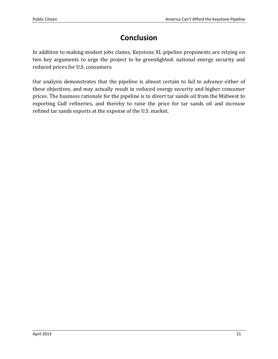## **Conclusion**

In addition to making modest jobs claims, Keystone XL pipeline proponents are relying on two key arguments to urge the project to be greenlighted: national energy security and reduced prices for U.S. consumers.

Our analysis demonstrates that the pipeline is almost certain to fail to advance either of these objectives, and may actually result in reduced energy security and higher consumer prices. The business rationale for the pipeline is to divert tar sands oil from the Midwest to exporting Gulf refineries, and thereby to raise the price for tar sands oil and increase refined tar sands exports at the expense of the U.S. market.